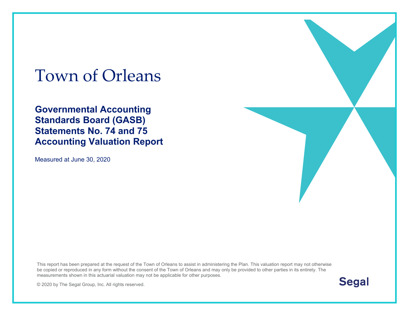# Town of Orleans

**Governmental Accounting Standards Board (GASB) Statements No. 74 and 75 Accounting Valuation Report** 

Measured at June 30, 2020

This report has been prepared at the request of the Town of Orleans to assist in administering the Plan. This valuation report may not otherwise be copied or reproduced in any form without the consent of the Town of Orleans and may only be provided to other parties in its entirety. The measurements shown in this actuarial valuation may not be applicable for other purposes.

**Segal** 

© 2020 by The Segal Group, Inc. All rights reserved.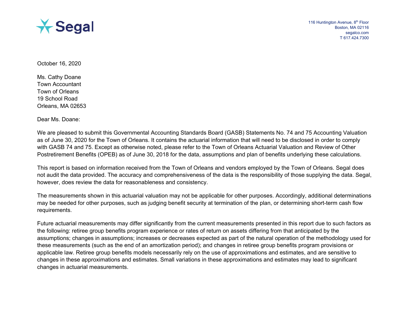

October 16, 2020

Ms. Cathy Doane Town Accountant Town of Orleans 19 School Road Orleans, MA 02653

Dear Ms. Doane:

We are pleased to submit this Governmental Accounting Standards Board (GASB) Statements No. 74 and 75 Accounting Valuation as of June 30, 2020 for the Town of Orleans. It contains the actuarial information that will need to be disclosed in order to comply with GASB 74 and 75. Except as otherwise noted, please refer to the Town of Orleans Actuarial Valuation and Review of Other Postretirement Benefits (OPEB) as of June 30, 2018 for the data, assumptions and plan of benefits underlying these calculations.

This report is based on information received from the Town of Orleans and vendors employed by the Town of Orleans. Segal does not audit the data provided. The accuracy and comprehensiveness of the data is the responsibility of those supplying the data. Segal, however, does review the data for reasonableness and consistency.

The measurements shown in this actuarial valuation may not be applicable for other purposes. Accordingly, additional determinations may be needed for other purposes, such as judging benefit security at termination of the plan, or determining short-term cash flow requirements.

Future actuarial measurements may differ significantly from the current measurements presented in this report due to such factors as the following: retiree group benefits program experience or rates of return on assets differing from that anticipated by the assumptions; changes in assumptions; increases or decreases expected as part of the natural operation of the methodology used for these measurements (such as the end of an amortization period); and changes in retiree group benefits program provisions or applicable law. Retiree group benefits models necessarily rely on the use of approximations and estimates, and are sensitive to changes in these approximations and estimates. Small variations in these approximations and estimates may lead to significant changes in actuarial measurements.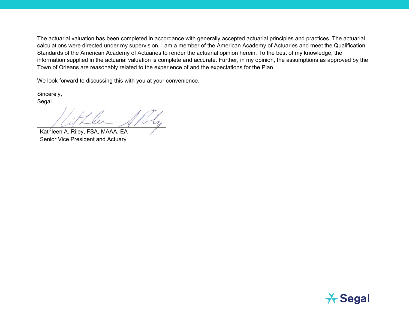The actuarial valuation has been completed in accordance with generally accepted actuarial principles and practices. The actuarial calculations were directed under my supervision. I am a member of the American Academy of Actuaries and meet the Qualification Standards of the American Academy of Actuaries to render the actuarial opinion herein. To the best of my knowledge, the information supplied in the actuarial valuation is complete and accurate. Further, in my opinion, the assumptions as approved by the Town of Orleans are reasonably related to the experience of and the expectations for the Plan.

We look forward to discussing this with you at your convenience.

Sincerely, Segal

Kathleen A. Riley, FSA, MAAA, EA Senior Vice President and Actuary

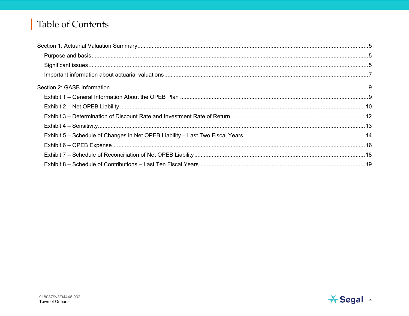# **Table of Contents**

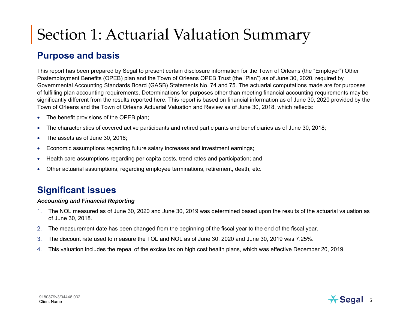# Section 1: Actuarial Valuation Summary

#### **Purpose and basis**

This report has been prepared by Segal to present certain disclosure information for the Town of Orleans (the "Employer") Other Postemployment Benefits (OPEB) plan and the Town of Orleans OPEB Trust (the "Plan") as of June 30, 2020, required by Governmental Accounting Standards Board (GASB) Statements No. 74 and 75. The actuarial computations made are for purposes of fulfilling plan accounting requirements. Determinations for purposes other than meeting financial accounting requirements may be significantly different from the results reported here. This report is based on financial information as of June 30, 2020 provided by the Town of Orleans and the Town of Orleans Actuarial Valuation and Review as of June 30, 2018, which reflects:

- •The benefit provisions of the OPEB plan;
- •The characteristics of covered active participants and retired participants and beneficiaries as of June 30, 2018;
- •The assets as of June 30, 2018;
- •Economic assumptions regarding future salary increases and investment earnings;
- •Health care assumptions regarding per capita costs, trend rates and participation; and
- •Other actuarial assumptions, regarding employee terminations, retirement, death, etc.

### **Significant issues**

#### *Accounting and Financial Reporting*

- 1. The NOL measured as of June 30, 2020 and June 30, 2019 was determined based upon the results of the actuarial valuation as of June 30, 2018.
- 2. The measurement date has been changed from the beginning of the fiscal year to the end of the fiscal year.
- 3. The discount rate used to measure the TOL and NOL as of June 30, 2020 and June 30, 2019 was 7.25%.
- 4. This valuation includes the repeal of the excise tax on high cost health plans, which was effective December 20, 2019.

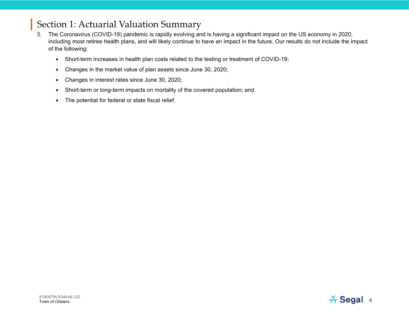## Section 1: Actuarial Valuation Summary

- 5. The Coronavirus (COVID-19) pandemic is rapidly evolving and is having a significant impact on the US economy in 2020, including most retiree health plans, and will likely continue to have an impact in the future. Our results do not include the impact of the following:
	- Short-term increases in health plan costs related to the testing or treatment of COVID-19;
	- $\bullet$ Changes in the market value of plan assets since June 30, 2020;
	- •Changes in interest rates since June 30, 2020;
	- Short-term or long-term impacts on mortality of the covered population; and
	- •The potential for federal or state fiscal relief.

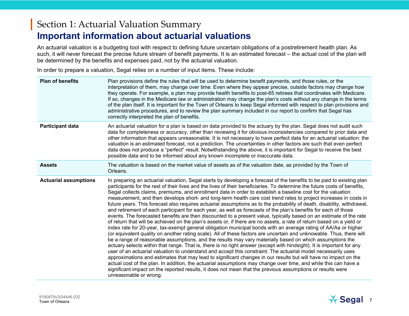#### Section 1: Actuarial Valuation Summary **Important information about actuarial valuations**

An actuarial valuation is a budgeting tool with respect to defining future uncertain obligations of a postretirement health plan. As such, it will never forecast the precise future stream of benefit payments. It is an estimated forecast – the actual cost of the plan will be determined by the benefits and expenses paid, not by the actuarial valuation.

In order to prepare a valuation, Segal relies on a number of input items. These include:

| <b>Plan of benefits</b>      | Plan provisions define the rules that will be used to determine benefit payments, and those rules, or the<br>interpretation of them, may change over time. Even where they appear precise, outside factors may change how<br>they operate. For example, a plan may provide health benefits to post-65 retirees that coordinates with Medicare.<br>If so, changes in the Medicare law or administration may change the plan's costs without any change in the terms<br>of the plan itself. It is important for the Town of Orleans to keep Segal informed with respect to plan provisions and<br>administrative procedures, and to review the plan summary included in our report to confirm that Segal has<br>correctly interpreted the plan of benefits.                                                                                                                                                                                                                                                                                                                                                                                                                                                                                                                                                                                                                                                                                                                                                                                                                                                                                                                                                                                                                                                                                                                                                                                                            |
|------------------------------|----------------------------------------------------------------------------------------------------------------------------------------------------------------------------------------------------------------------------------------------------------------------------------------------------------------------------------------------------------------------------------------------------------------------------------------------------------------------------------------------------------------------------------------------------------------------------------------------------------------------------------------------------------------------------------------------------------------------------------------------------------------------------------------------------------------------------------------------------------------------------------------------------------------------------------------------------------------------------------------------------------------------------------------------------------------------------------------------------------------------------------------------------------------------------------------------------------------------------------------------------------------------------------------------------------------------------------------------------------------------------------------------------------------------------------------------------------------------------------------------------------------------------------------------------------------------------------------------------------------------------------------------------------------------------------------------------------------------------------------------------------------------------------------------------------------------------------------------------------------------------------------------------------------------------------------------------------------------|
| <b>Participant data</b>      | An actuarial valuation for a plan is based on data provided to the actuary by the plan. Segal does not audit such<br>data for completeness or accuracy, other than reviewing it for obvious inconsistencies compared to prior data and<br>other information that appears unreasonable. It is not necessary to have perfect data for an actuarial valuation: the<br>valuation is an estimated forecast, not a prediction. The uncertainties in other factors are such that even perfect<br>data does not produce a "perfect" result. Notwithstanding the above, it is important for Segal to receive the best<br>possible data and to be informed about any known incomplete or inaccurate data.                                                                                                                                                                                                                                                                                                                                                                                                                                                                                                                                                                                                                                                                                                                                                                                                                                                                                                                                                                                                                                                                                                                                                                                                                                                                      |
| <b>Assets</b>                | The valuation is based on the market value of assets as of the valuation date, as provided by the Town of<br>Orleans.                                                                                                                                                                                                                                                                                                                                                                                                                                                                                                                                                                                                                                                                                                                                                                                                                                                                                                                                                                                                                                                                                                                                                                                                                                                                                                                                                                                                                                                                                                                                                                                                                                                                                                                                                                                                                                                |
| <b>Actuarial assumptions</b> | In preparing an actuarial valuation, Segal starts by developing a forecast of the benefits to be paid to existing plan<br>participants for the rest of their lives and the lives of their beneficiaries. To determine the future costs of benefits,<br>Segal collects claims, premiums, and enrollment data in order to establish a baseline cost for the valuation<br>measurement, and then develops short- and long-term health care cost trend rates to project increases in costs in<br>future years. This forecast also requires actuarial assumptions as to the probability of death, disability, withdrawal,<br>and retirement of each participant for each year, as well as forecasts of the plan's benefits for each of those<br>events. The forecasted benefits are then discounted to a present value, typically based on an estimate of the rate<br>of return that will be achieved on the plan's assets or, if there are no assets, a rate of return based on a yield or<br>index rate for 20-year, tax-exempt general obligation municipal bonds with an average rating of AA/Aa or higher<br>(or equivalent quality on another rating scale). All of these factors are uncertain and unknowable. Thus, there will<br>be a range of reasonable assumptions, and the results may vary materially based on which assumptions the<br>actuary selects within that range. That is, there is no right answer (except with hindsight). It is important for any<br>user of an actuarial valuation to understand and accept this constraint. The actuarial model necessarily uses<br>approximations and estimates that may lead to significant changes in our results but will have no impact on the<br>actual cost of the plan. In addition, the actuarial assumptions may change over time, and while this can have a<br>significant impact on the reported results, it does not mean that the previous assumptions or results were<br>unreasonable or wrong. |

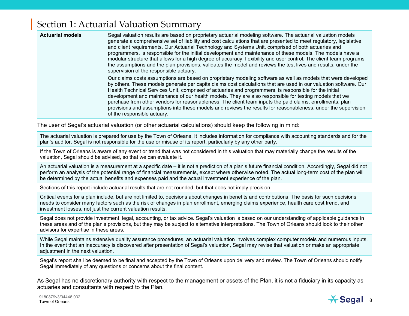#### Section 1: Actuarial Valuation Summary

| <b>Actuarial models</b> | Segal valuation results are based on proprietary actuarial modeling software. The actuarial valuation models<br>generate a comprehensive set of liability and cost calculations that are presented to meet regulatory, legislative<br>and client requirements. Our Actuarial Technology and Systems Unit, comprised of both actuaries and<br>programmers, is responsible for the initial development and maintenance of these models. The models have a<br>modular structure that allows for a high degree of accuracy, flexibility and user control. The client team programs<br>the assumptions and the plan provisions, validates the model and reviews the test lives and results, under the<br>supervision of the responsible actuary. |
|-------------------------|---------------------------------------------------------------------------------------------------------------------------------------------------------------------------------------------------------------------------------------------------------------------------------------------------------------------------------------------------------------------------------------------------------------------------------------------------------------------------------------------------------------------------------------------------------------------------------------------------------------------------------------------------------------------------------------------------------------------------------------------|
|                         | Our claims costs assumptions are based on proprietary modeling software as well as models that were developed<br>by others. These models generate per capita claims cost calculations that are used in our valuation software. Our<br>Health Technical Services Unit, comprised of actuaries and programmers, is responsible for the initial<br>development and maintenance of our health models. They are also responsible for testing models that we<br>purchase from other vendors for reasonableness. The client team inputs the paid claims, enrollments, plan<br>provisions and assumptions into these models and reviews the results for reasonableness, under the supervision<br>of the responsible actuary.                        |

The user of Segal's actuarial valuation (or other actuarial calculations) should keep the following in mind:

The actuarial valuation is prepared for use by the Town of Orleans. It includes information for compliance with accounting standards and for the plan's auditor. Segal is not responsible for the use or misuse of its report, particularly by any other party.

If the Town of Orleans is aware of any event or trend that was not considered in this valuation that may materially change the results of the valuation, Segal should be advised, so that we can evaluate it.

An actuarial valuation is a measurement at a specific date – it is not a prediction of a plan's future financial condition. Accordingly, Segal did not perform an analysis of the potential range of financial measurements, except where otherwise noted. The actual long-term cost of the plan will be determined by the actual benefits and expenses paid and the actual investment experience of the plan.

Sections of this report include actuarial results that are not rounded, but that does not imply precision.

Critical events for a plan include, but are not limited to, decisions about changes in benefits and contributions. The basis for such decisions needs to consider many factors such as the risk of changes in plan enrollment, emerging claims experience, health care cost trend, and investment losses, not just the current valuation results.

Segal does not provide investment, legal, accounting, or tax advice. Segal's valuation is based on our understanding of applicable guidance in these areas and of the plan's provisions, but they may be subject to alternative interpretations. The Town of Orleans should look to their other advisors for expertise in these areas.

While Segal maintains extensive quality assurance procedures, an actuarial valuation involves complex computer models and numerous inputs. In the event that an inaccuracy is discovered after presentation of Segal's valuation, Segal may revise that valuation or make an appropriate adjustment in the next valuation.

Segal's report shall be deemed to be final and accepted by the Town of Orleans upon delivery and review. The Town of Orleans should notify Segal immediately of any questions or concerns about the final content.

As Segal has no discretionary authority with respect to the management or assets of the Plan, it is not a fiduciary in its capacity as actuaries and consultants with respect to the Plan.

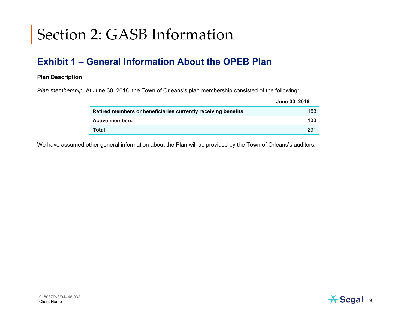#### **Exhibit 1 – General Information About the OPEB Plan**

#### **Plan Description**

*Plan membership.* At June 30, 2018, the Town of Orleans's plan membership consisted of the following:

|                                                               | June 30, 2018 |
|---------------------------------------------------------------|---------------|
| Retired members or beneficiaries currently receiving benefits | 153           |
| <b>Active members</b>                                         | <u> 138</u>   |
| Total                                                         | 291           |

We have assumed other general information about the Plan will be provided by the Town of Orleans's auditors.

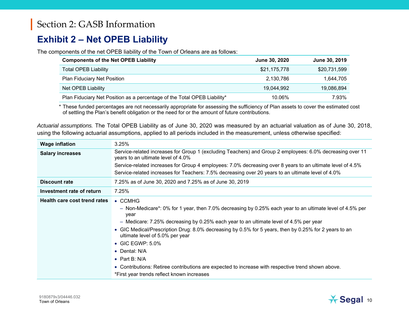#### **Exhibit 2 – Net OPEB Liability**

The components of the net OPEB liability of the Town of Orleans are as follows:

| <b>Components of the Net OPEB Liability</b>                              | June 30, 2020 | June 30, 2019 |
|--------------------------------------------------------------------------|---------------|---------------|
| <b>Total OPEB Liability</b>                                              | \$21,175,778  | \$20,731,599  |
| <b>Plan Fiduciary Net Position</b>                                       | 2,130,786     | 1,644,705     |
| Net OPEB Liability                                                       | 19,044,992    | 19,086,894    |
| Plan Fiduciary Net Position as a percentage of the Total OPEB Liability* | 10.06%        | 7.93%         |

\* These funded percentages are not necessarily appropriate for assessing the sufficiency of Plan assets to cover the estimated cost of settling the Plan's benefit obligation or the need for or the amount of future contributions.

| Actuarial assumptions. The Total OPEB Liability as of June 30, 2020 was measured by an actuarial valuation as of June 30, 2018, |
|---------------------------------------------------------------------------------------------------------------------------------|
| using the following actuarial assumptions, applied to all periods included in the measurement, unless otherwise specified:      |

| <b>Wage inflation</b>        | 3.25%                                                                                                                                           |
|------------------------------|-------------------------------------------------------------------------------------------------------------------------------------------------|
| <b>Salary increases</b>      | Service-related increases for Group 1 (excluding Teachers) and Group 2 employees: 6.0% decreasing over 11<br>years to an ultimate level of 4.0% |
|                              | Service-related increases for Group 4 employees: 7.0% decreasing over 8 years to an ultimate level of 4.5%                                      |
|                              | Service-related increases for Teachers: 7.5% decreasing over 20 years to an ultimate level of 4.0%                                              |
| <b>Discount rate</b>         | 7.25% as of June 30, 2020 and 7.25% as of June 30, 2019                                                                                         |
| Investment rate of return    | 7.25%                                                                                                                                           |
| Health care cost trend rates | $\bullet$ CCMHG                                                                                                                                 |
|                              | - Non-Medicare*: 0% for 1 year, then 7.0% decreasing by 0.25% each year to an ultimate level of 4.5% per<br>year                                |
|                              | - Medicare: 7.25% decreasing by 0.25% each year to an ultimate level of 4.5% per year                                                           |
|                              | • GIC Medical/Prescription Drug: 8.0% decreasing by 0.5% for 5 years, then by 0.25% for 2 years to an<br>ultimate level of 5.0% per year        |
|                              | $\bullet$ GIC EGWP: 5.0%                                                                                                                        |
|                              | • Dental: N/A                                                                                                                                   |
|                              | • Part B: $N/A$                                                                                                                                 |
|                              | • Contributions: Retiree contributions are expected to increase with respective trend shown above.                                              |
|                              | *First year trends reflect known increases                                                                                                      |
|                              |                                                                                                                                                 |

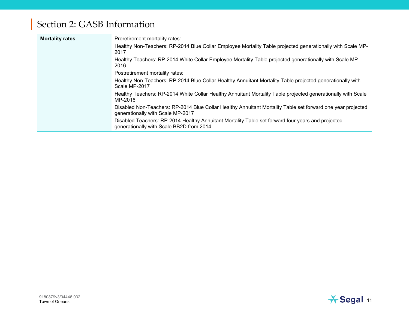| <b>Mortality rates</b> | Preretirement mortality rates:                                                                                                                   |
|------------------------|--------------------------------------------------------------------------------------------------------------------------------------------------|
|                        | Healthy Non-Teachers: RP-2014 Blue Collar Employee Mortality Table projected generationally with Scale MP-<br>2017                               |
|                        | Healthy Teachers: RP-2014 White Collar Employee Mortality Table projected generationally with Scale MP-<br>2016                                  |
|                        | Postretirement mortality rates:                                                                                                                  |
|                        | Healthy Non-Teachers: RP-2014 Blue Collar Healthy Annuitant Mortality Table projected generationally with<br>Scale MP-2017                       |
|                        | Healthy Teachers: RP-2014 White Collar Healthy Annuitant Mortality Table projected generationally with Scale<br>MP-2016                          |
|                        | Disabled Non-Teachers: RP-2014 Blue Collar Healthy Annuitant Mortality Table set forward one year projected<br>generationally with Scale MP-2017 |
|                        | Disabled Teachers: RP-2014 Healthy Annuitant Mortality Table set forward four years and projected<br>generationally with Scale BB2D from 2014    |

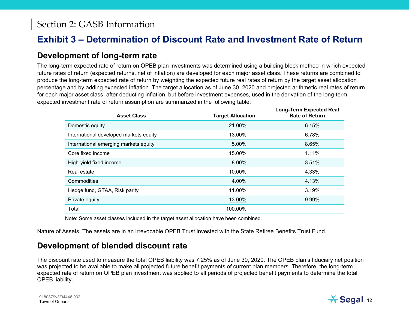#### **Exhibit 3 – Determination of Discount Rate and Investment Rate of Return**

#### **Development of long-term rate**

The long-term expected rate of return on OPEB plan investments was determined using a building block method in which expected future rates of return (expected returns, net of inflation) are developed for each major asset class. These returns are combined to produce the long-term expected rate of return by weighting the expected future real rates of return by the target asset allocation percentage and by adding expected inflation. The target allocation as of June 30, 2020 and projected arithmetic real rates of return for each major asset class, after deducting inflation, but before investment expenses, used in the derivation of the long-term expected investment rate of return assumption are summarized in the following table:

| <b>Asset Class</b>                     | <b>Target Allocation</b> | Long-Term Expected Real<br><b>Rate of Return</b> |
|----------------------------------------|--------------------------|--------------------------------------------------|
| Domestic equity                        | 21.00%                   | 6.15%                                            |
| International developed markets equity | 13.00%                   | 6.78%                                            |
| International emerging markets equity  | 5.00%                    | 8.65%                                            |
| Core fixed income                      | 15.00%                   | 1.11%                                            |
| High-yield fixed income                | 8.00%                    | 3.51%                                            |
| Real estate                            | 10.00%                   | 4.33%                                            |
| Commodities                            | 4.00%                    | 4.13%                                            |
| Hedge fund, GTAA, Risk parity          | 11.00%                   | 3.19%                                            |
| Private equity                         | 13.00%                   | 9.99%                                            |
| Total                                  | 100.00%                  |                                                  |

Note: Some asset classes included in the target asset allocation have been combined.

Nature of Assets: The assets are in an irrevocable OPEB Trust invested with the State Retiree Benefits Trust Fund.

#### **Development of blended discount rate**

The discount rate used to measure the total OPEB liability was 7.25% as of June 30, 2020. The OPEB plan's fiduciary net position was projected to be available to make all projected future benefit payments of current plan members. Therefore, the long-term expected rate of return on OPEB plan investment was applied to all periods of projected benefit payments to determine the total OPEB liability.

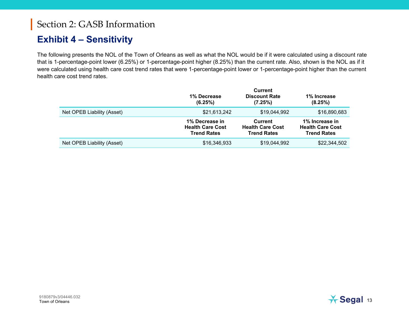#### **Exhibit 4 – Sensitivity**

The following presents the NOL of the Town of Orleans as well as what the NOL would be if it were calculated using a discount rate that is 1-percentage-point lower (6.25%) or 1-percentage-point higher (8.25%) than the current rate. Also, shown is the NOL as if it were calculated using health care cost trend rates that were 1-percentage-point lower or 1-percentage-point higher than the current health care cost trend rates.

|                            | 1% Decrease<br>(6.25%)                                          | Current<br><b>Discount Rate</b><br>(7.25%)               | 1% Increase<br>(8.25%)                                          |
|----------------------------|-----------------------------------------------------------------|----------------------------------------------------------|-----------------------------------------------------------------|
| Net OPEB Liability (Asset) | \$21,613,242                                                    | \$19,044,992                                             | \$16,890,683                                                    |
|                            | 1% Decrease in<br><b>Health Care Cost</b><br><b>Trend Rates</b> | Current<br><b>Health Care Cost</b><br><b>Trend Rates</b> | 1% Increase in<br><b>Health Care Cost</b><br><b>Trend Rates</b> |
| Net OPEB Liability (Asset) | \$16,346,933                                                    | \$19,044,992                                             | \$22,344,502                                                    |

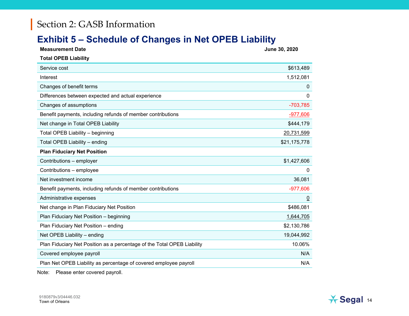#### **Exhibit 5 – Schedule of Changes in Net OPEB Liability**

| <b>Measurement Date</b>                                                 | June 30, 2020  |
|-------------------------------------------------------------------------|----------------|
| <b>Total OPEB Liability</b>                                             |                |
| Service cost                                                            | \$613,489      |
| Interest                                                                | 1,512,081      |
| Changes of benefit terms                                                | 0              |
| Differences between expected and actual experience                      | 0              |
| Changes of assumptions                                                  | $-703,785$     |
| Benefit payments, including refunds of member contributions             | $-977,606$     |
| Net change in Total OPEB Liability                                      | \$444,179      |
| Total OPEB Liability - beginning                                        | 20,731,599     |
| Total OPEB Liability - ending                                           | \$21,175,778   |
| <b>Plan Fiduciary Net Position</b>                                      |                |
| Contributions - employer                                                | \$1,427,606    |
| Contributions - employee                                                | 0              |
| Net investment income                                                   | 36,081         |
| Benefit payments, including refunds of member contributions             | $-977,606$     |
| Administrative expenses                                                 | $\overline{0}$ |
| Net change in Plan Fiduciary Net Position                               | \$486,081      |
| Plan Fiduciary Net Position - beginning                                 | 1,644,705      |
| Plan Fiduciary Net Position - ending                                    | \$2,130,786    |
| Net OPEB Liability - ending                                             | 19,044,992     |
| Plan Fiduciary Net Position as a percentage of the Total OPEB Liability | 10.06%         |
| Covered employee payroll                                                | N/A            |
| Plan Net OPEB Liability as percentage of covered employee payroll       | N/A            |
|                                                                         |                |

Note: Please enter covered payroll.

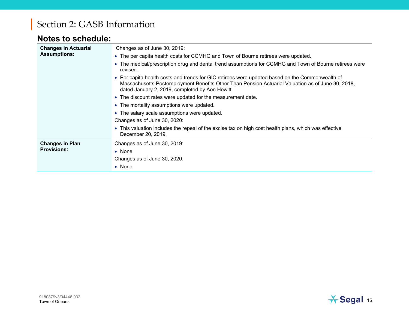#### **Notes to schedule:**

| <b>Changes in Actuarial</b><br><b>Assumptions:</b> | Changes as of June 30, 2019:<br>• The per capita health costs for CCMHG and Town of Bourne retirees were updated.<br>• The medical/prescription drug and dental trend assumptions for CCMHG and Town of Bourne retirees were                                        |
|----------------------------------------------------|---------------------------------------------------------------------------------------------------------------------------------------------------------------------------------------------------------------------------------------------------------------------|
|                                                    | revised.<br>• Per capita health costs and trends for GIC retirees were updated based on the Commonwealth of<br>Massachusetts Postemployment Benefits Other Than Pension Actuarial Valuation as of June 30, 2018,<br>dated January 2, 2019, completed by Aon Hewitt. |
|                                                    | • The discount rates were updated for the measurement date.                                                                                                                                                                                                         |
|                                                    | • The mortality assumptions were updated.                                                                                                                                                                                                                           |
|                                                    | • The salary scale assumptions were updated.                                                                                                                                                                                                                        |
|                                                    | Changes as of June 30, 2020:                                                                                                                                                                                                                                        |
|                                                    | • This valuation includes the repeal of the excise tax on high cost health plans, which was effective<br>December 20, 2019.                                                                                                                                         |
| <b>Changes in Plan</b>                             | Changes as of June 30, 2019:                                                                                                                                                                                                                                        |
| <b>Provisions:</b>                                 | $\bullet$ None                                                                                                                                                                                                                                                      |
|                                                    | Changes as of June 30, 2020:                                                                                                                                                                                                                                        |
|                                                    | $\bullet$ None                                                                                                                                                                                                                                                      |

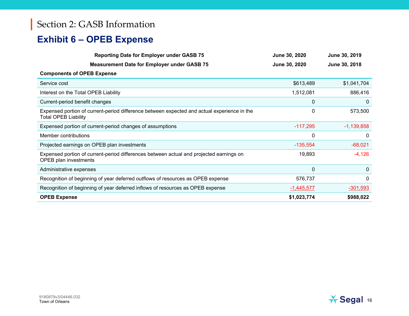## **Exhibit 6 – OPEB Expense**

| <b>Reporting Date for Employer under GASB 75</b>                                                                           | June 30, 2020 | June 30, 2019 |
|----------------------------------------------------------------------------------------------------------------------------|---------------|---------------|
| <b>Measurement Date for Employer under GASB 75</b>                                                                         | June 30, 2020 | June 30, 2018 |
| <b>Components of OPEB Expense</b>                                                                                          |               |               |
| Service cost                                                                                                               | \$613,489     | \$1,041,704   |
| Interest on the Total OPEB Liability                                                                                       | 1,512,081     | 886,416       |
| Current-period benefit changes                                                                                             | $\Omega$      | 0             |
| Expensed portion of current-period difference between expected and actual experience in the<br><b>Total OPEB Liability</b> | 0             | 573,500       |
| Expensed portion of current-period changes of assumptions                                                                  | $-117,295$    | $-1,139,858$  |
| Member contributions                                                                                                       | 0             | 0             |
| Projected earnings on OPEB plan investments                                                                                | $-135,554$    | $-68,021$     |
| Expensed portion of current-period differences between actual and projected earnings on<br><b>OPEB</b> plan investments    | 19,893        | $-4,126$      |
| Administrative expenses                                                                                                    | $\mathbf 0$   | $\theta$      |
| Recognition of beginning of year deferred outflows of resources as OPEB expense                                            | 576,737       | $\Omega$      |
| Recognition of beginning of year deferred inflows of resources as OPEB expense                                             | $-1,445,577$  | $-301,593$    |
| <b>OPEB Expense</b>                                                                                                        | \$1,023,774   | \$988,022     |

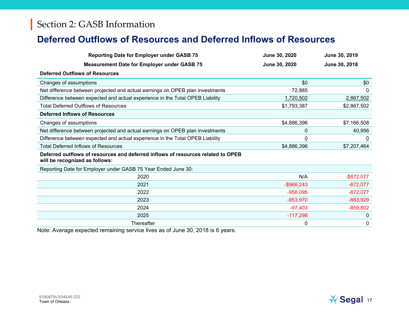#### **Deferred Outflows of Resources and Deferred Inflows of Resources**

| <b>Reporting Date for Employer under GASB 75</b>                                                                   | June 30, 2020 | June 30, 2019  |
|--------------------------------------------------------------------------------------------------------------------|---------------|----------------|
| <b>Measurement Date for Employer under GASB 75</b>                                                                 | June 30, 2020 | June 30, 2018  |
| <b>Deferred Outflows of Resources</b>                                                                              |               |                |
| Changes of assumptions                                                                                             | \$0           | \$0            |
| Net difference between projected and actual earnings on OPEB plan investments                                      | 72,885        | $\mathbf{0}$   |
| Difference between expected and actual experience in the Total OPEB Liability                                      | 1,720,502     | 2,867,502      |
| <b>Total Deferred Outflows of Resources</b>                                                                        | \$1,793,387   | \$2,867,502    |
| <b>Deferred Inflows of Resources</b>                                                                               |               |                |
| Changes of assumptions                                                                                             | \$4,886,396   | \$7,166,508    |
| Net difference between projected and actual earnings on OPEB plan investments                                      | 0             | 40,956         |
| Difference between expected and actual experience in the Total OPEB Liability                                      | <u>0</u>      | $\overline{0}$ |
| <b>Total Deferred Inflows of Resources</b>                                                                         | \$4,886,396   | \$7,207,464    |
| Deferred outflows of resources and deferred inflows of resources related to OPEB<br>will be recognized as follows: |               |                |
| Reporting Date for Employer under GASB 75 Year Ended June 30:                                                      |               |                |
| 2020                                                                                                               | N/A           | $-$ \$872,077  |
| 2021                                                                                                               | $-$ \$966,243 | $-872,077$     |
| 2022                                                                                                               | $-958,095$    | $-872,077$     |
| 2023                                                                                                               | $-953,970$    | $-863,929$     |
| 2024                                                                                                               | $-97,403$     | $-859,802$     |
| 2025                                                                                                               | $-117,298$    | $\mathbf{0}$   |
| Thereafter                                                                                                         | 0             | $\mathbf 0$    |

Note: Average expected remaining service lives as of June 30, 2018 is 6 years.

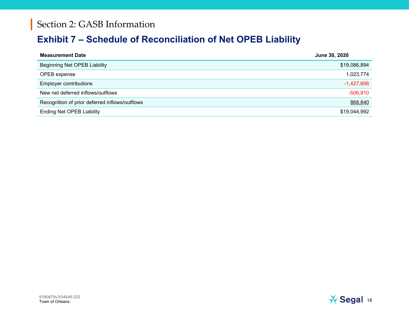#### **Exhibit 7 – Schedule of Reconciliation of Net OPEB Liability**

| <b>Measurement Date</b>                        | June 30, 2020 |
|------------------------------------------------|---------------|
| <b>Beginning Net OPEB Liability</b>            | \$19,086,894  |
| OPEB expense                                   | 1,023,774     |
| <b>Employer contributions</b>                  | $-1,427,606$  |
| New net deferred inflows/outflows              | $-506,910$    |
| Recognition of prior deferred inflows/outflows | 868,840       |
| <b>Ending Net OPEB Liability</b>               | \$19,044,992  |

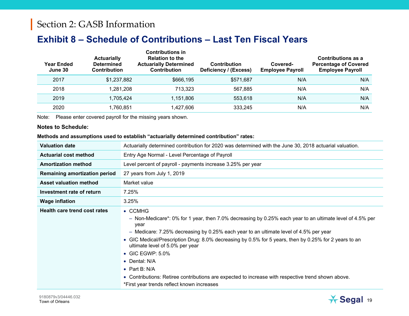#### **Exhibit 8 – Schedule of Contributions – Last Ten Fiscal Years**

| Year Ended<br>June 30 | <b>Actuarially</b><br><b>Determined</b><br><b>Contribution</b> | <b>Contributions in</b><br><b>Relation to the</b><br><b>Actuarially Determined</b><br><b>Contribution</b> | <b>Contribution</b><br>Deficiency / (Excess) | Covered-<br><b>Employee Payroll</b> | Contributions as a<br><b>Percentage of Covered</b><br><b>Employee Payroll</b> |
|-----------------------|----------------------------------------------------------------|-----------------------------------------------------------------------------------------------------------|----------------------------------------------|-------------------------------------|-------------------------------------------------------------------------------|
| 2017                  | \$1,237,882                                                    | \$666,195                                                                                                 | \$571,687                                    | N/A                                 | N/A                                                                           |
| 2018                  | 1,281,208                                                      | 713,323                                                                                                   | 567,885                                      | N/A                                 | N/A                                                                           |
| 2019                  | 1,705,424                                                      | 1,151,806                                                                                                 | 553.618                                      | N/A                                 | N/A                                                                           |
| 2020                  | 1,760,851                                                      | 1,427,606                                                                                                 | 333,245                                      | N/A                                 | N/A                                                                           |

Note: Please enter covered payroll for the missing years shown.

#### **Notes to Schedule:**

#### **Methods and assumptions used to establish "actuarially determined contribution" rates:**

| <b>Valuation date</b>                | Actuarially determined contribution for 2020 was determined with the June 30, 2018 actuarial valuation.                                                                                                                                                                                                                                                                                                                                                                                                                                                                                      |  |
|--------------------------------------|----------------------------------------------------------------------------------------------------------------------------------------------------------------------------------------------------------------------------------------------------------------------------------------------------------------------------------------------------------------------------------------------------------------------------------------------------------------------------------------------------------------------------------------------------------------------------------------------|--|
| <b>Actuarial cost method</b>         | Entry Age Normal - Level Percentage of Payroll                                                                                                                                                                                                                                                                                                                                                                                                                                                                                                                                               |  |
| <b>Amortization method</b>           | Level percent of payroll - payments increase 3.25% per year                                                                                                                                                                                                                                                                                                                                                                                                                                                                                                                                  |  |
| <b>Remaining amortization period</b> | 27 years from July 1, 2019                                                                                                                                                                                                                                                                                                                                                                                                                                                                                                                                                                   |  |
| <b>Asset valuation method</b>        | Market value                                                                                                                                                                                                                                                                                                                                                                                                                                                                                                                                                                                 |  |
| Investment rate of return            | 7.25%                                                                                                                                                                                                                                                                                                                                                                                                                                                                                                                                                                                        |  |
| <b>Wage inflation</b>                | 3.25%                                                                                                                                                                                                                                                                                                                                                                                                                                                                                                                                                                                        |  |
| <b>Health care trend cost rates</b>  | $\bullet$ CCMHG<br>- Non-Medicare*: 0% for 1 year, then 7.0% decreasing by 0.25% each year to an ultimate level of 4.5% per<br>year<br>- Medicare: 7.25% decreasing by 0.25% each year to an ultimate level of 4.5% per year<br>• GIC Medical/Prescription Drug: 8.0% decreasing by 0.5% for 5 years, then by 0.25% for 2 years to an<br>ultimate level of 5.0% per year<br>$\bullet$ GIC EGWP: 5.0%<br>• Dental: N/A<br>• Part B: $N/A$<br>• Contributions: Retiree contributions are expected to increase with respective trend shown above.<br>*First year trends reflect known increases |  |